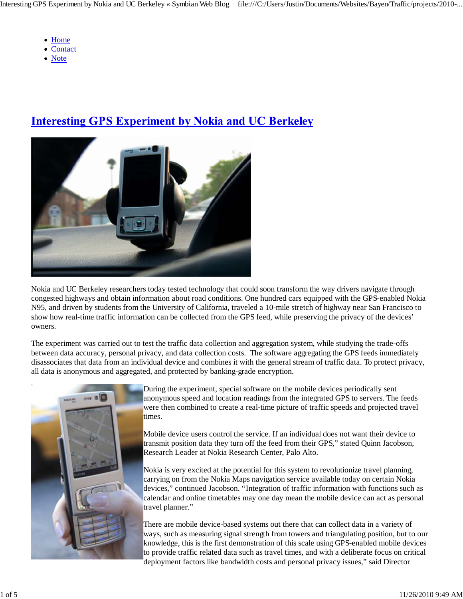- Home
- Contact
- Note

## **Interesting GPS Experiment by Nokia and UC Berkeley**



Nokia and UC Berkeley researchers today tested technology that could soon transform the way drivers navigate through congested highways and obtain information about road conditions. One hundred cars equipped with the GPS-enabled Nokia N95, and driven by students from the University of California, traveled a 10-mile stretch of highway near San Francisco to show how real-time traffic information can be collected from the GPS feed, while preserving the privacy of the devices' owners.

The experiment was carried out to test the traffic data collection and aggregation system, while studying the trade-offs between data accuracy, personal privacy, and data collection costs. The software aggregating the GPS feeds immediately disassociates that data from an individual device and combines it with the general stream of traffic data. To protect privacy, all data is anonymous and aggregated, and protected by banking-grade encryption.



During the experiment, special software on the mobile devices periodically sent anonymous speed and location readings from the integrated GPS to servers. The feeds were then combined to create a real-time picture of traffic speeds and projected travel times.

Mobile device users control the service. If an individual does not want their device to transmit position data they turn off the feed from their GPS," stated Quinn Jacobson, Research Leader at Nokia Research Center, Palo Alto.

Nokia is very excited at the potential for this system to revolutionize travel planning, carrying on from the Nokia Maps navigation service available today on certain Nokia devices," continued Jacobson. "Integration of traffic information with functions such as calendar and online timetables may one day mean the mobile device can act as personal travel planner."

There are mobile device-based systems out there that can collect data in a variety of ways, such as measuring signal strength from towers and triangulating position, but to our knowledge, this is the first demonstration of this scale using GPS-enabled mobile devices to provide traffic related data such as travel times, and with a deliberate focus on critical deployment factors like bandwidth costs and personal privacy issues," said Director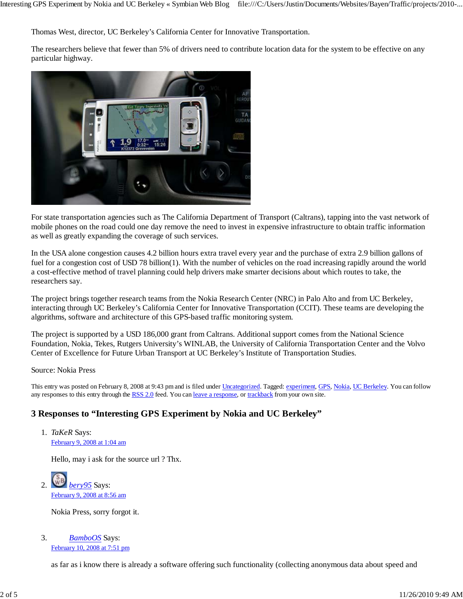Thomas West, director, UC Berkeley's California Center for Innovative Transportation.

The researchers believe that fewer than 5% of drivers need to contribute location data for the system to be effective on any particular highway.



For state transportation agencies such as The California Department of Transport (Caltrans), tapping into the vast network of mobile phones on the road could one day remove the need to invest in expensive infrastructure to obtain traffic information as well as greatly expanding the coverage of such services.

In the USA alone congestion causes 4.2 billion hours extra travel every year and the purchase of extra 2.9 billion gallons of fuel for a congestion cost of USD 78 billion(1). With the number of vehicles on the road increasing rapidly around the world a cost-effective method of travel planning could help drivers make smarter decisions about which routes to take, the researchers say.

The project brings together research teams from the Nokia Research Center (NRC) in Palo Alto and from UC Berkeley, interacting through UC Berkeley's California Center for Innovative Transportation (CCIT). These teams are developing the algorithms, software and architecture of this GPS-based traffic monitoring system.

The project is supported by a USD 186,000 grant from Caltrans. Additional support comes from the National Science Foundation, Nokia, Tekes, Rutgers University's WINLAB, the University of California Transportation Center and the Volvo Center of Excellence for Future Urban Transport at UC Berkeley's Institute of Transportation Studies.

Source: Nokia Press

This entry was posted on February 8, 2008 at 9:43 pm and is filed under Uncategorized. Tagged: experiment, GPS, Nokia, UC Berkeley. You can follow any responses to this entry through the RSS 2.0 feed. You can leave a response, or trackback from your own site.

#### **3 Responses to "Interesting GPS Experiment by Nokia and UC Berkeley"**

*TaKeR* Says: 1. February 9, 2008 at 1:04 am

Hello, may i ask for the source url ? Thx.

*bery95* Says: February 9, 2008 at 8:56 am 2.

Nokia Press, sorry forgot it.

*BamboOS* Says: February 10, 2008 at 7:51 pm 3.

as far as i know there is already a software offering such functionality (collecting anonymous data about speed and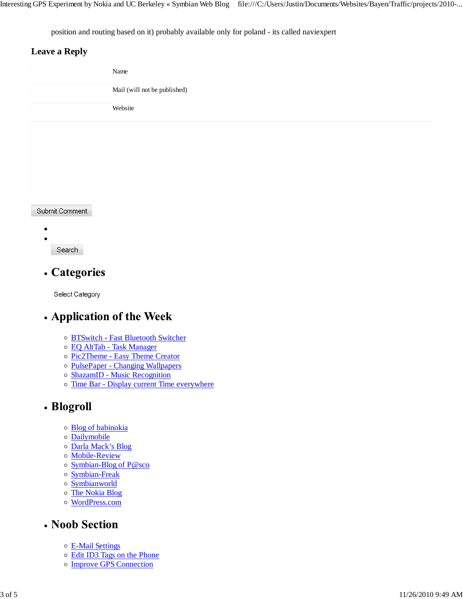position and routing based on it) probably available only for poland - its called naviexpert

#### **Leave a Reply**

|                | Name                         |
|----------------|------------------------------|
|                | Mail (will not be published) |
|                | Website                      |
|                |                              |
|                |                              |
|                |                              |
|                |                              |
| Submit Comment |                              |
|                |                              |
|                |                              |

Search

### • Categories

Select Category

### • Application of the Week

- o BTSwitch Fast Bluetooth Switcher
- EQ AltTab Task Manager
- o Pic2Theme Easy Theme Creator
- o PulsePaper Changing Wallpapers
- o ShazamID Music Recognition
- o Time Bar Display current Time everywhere

### • Blogroll

- Blog of babinokia
- Dailymobile
- Darla Mack's Blog
- Mobile-Review
- Symbian-Blog of P@sco
- o Symbian-Freak
- Symbianworld
- The Nokia Blog
- WordPress.com

#### • Noob Section

- E-Mail Settings
- Edit ID3 Tags on the Phone
- Improve GPS Connection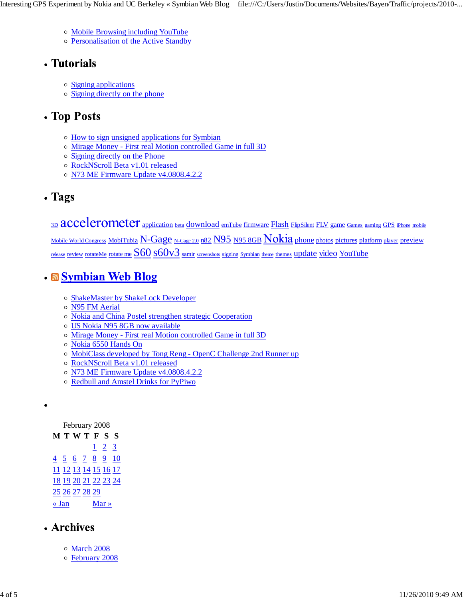- Mobile Browsing including YouTube
- Personalisation of the Active Standby

# • Tutorials

- Signing applications
- Signing directly on the phone

# • Top Posts

- $\circ$  How to sign unsigned applications for Symbian
- Mirage Money First real Motion controlled Game in full 3D
- o Signing directly on the Phone
- RockNScroll Beta v1.01 released
- o N73 ME Firmware Update v4.0808.4.2.2
- Tags

3D **accelerometer** application beta download emTube firmware Flash FlipSilent FLV game Games gaming GPS iPhone mobile Mobile World Congress MobiTubia N-Gage N-Gage 2.0 n82 N95 N95 8GB Nokia phone photos pictures platform player preview release review rotateMe rotate me S60 s60v3 samir screenshots signing Symbian theme themes update video YouTube

# • Symbian Web Blog

- o ShakeMaster by ShakeLock Developer
- N95 FM Aerial
- Nokia and China Postel strengthen strategic Cooperation
- US Nokia N95 8GB now available
- Mirage Money First real Motion controlled Game in full 3D
- Nokia 6550 Hands On
- MobiClass developed by Tong Reng OpenC Challenge 2nd Runner up
- RockNScroll Beta v1.01 released
- o N73 ME Firmware Update v4.0808.4.2.2
- Redbull and Amstel Drinks for PyPiwo

February 2008

## • Archives

- March 2008
- February 2008